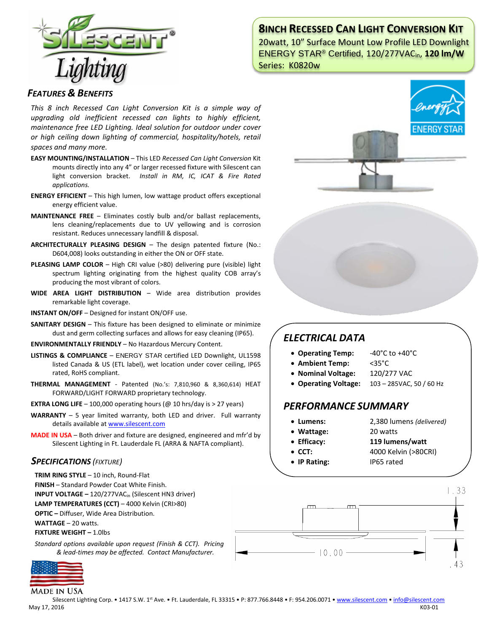

# **8INCH RECESSED CAN LIGHT CONVERSION KIT**

20watt, 10" Surface Mount Low Profile LED Downlight ENERGY STAR® Certified, 120/277VACin, **120 lm/W** Series: K0820w

### *FEATURES & BENEFITS*

*This 8 inch Recessed Can Light Conversion Kit is a simple way of upgrading old inefficient recessed can lights to highly efficient, maintenance free LED Lighting. Ideal solution for outdoor under cover or high ceiling down lighting of commercial, hospitality/hotels, retail spaces and many more.*

- **EASY MOUNTING/INSTALLATION**  This LED *Recessed Can Light Conversion* Kit mounts directly into any 4" or larger recessed fixture with Silescent can light conversion bracket. *Install in RM, IC, ICAT & Fire Rated applications.*
- **ENERGY EFFICIENT**  This high lumen, low wattage product offers exceptional energy efficient value.
- **MAINTENANCE FREE** Eliminates costly bulb and/or ballast replacements, lens cleaning/replacements due to UV yellowing and is corrosion resistant. Reduces unnecessary landfill & disposal.
- **ARCHITECTURALLY PLEASING DESIGN** The design patented fixture (No.: D604,008) looks outstanding in either the ON or OFF state.
- **PLEASING LAMP COLOR**  High CRI value (>80) delivering pure (visible) light spectrum lighting originating from the highest quality COB array's producing the most vibrant of colors.
- **WIDE AREA LIGHT DISTRIBUTION**  Wide area distribution provides remarkable light coverage.
- **INSTANT ON/OFF**  Designed for instant ON/OFF use.
- **SANITARY DESIGN** This fixture has been designed to eliminate or minimize dust and germ collecting surfaces and allows for easy cleaning (IP65).
- **ENVIRONMENTALLY FRIENDLY**  No Hazardous Mercury Content.
- **LISTINGS & COMPLIANCE** ENERGY STAR certified LED Downlight, UL1598 listed Canada & US (ETL label), wet location under cover ceiling, IP65 rated, RoHS compliant.
- **THERMAL MANAGEMENT**  Patented (No.'s: 7,810,960 & 8,360,614) HEAT FORWARD/LIGHT FORWARD proprietary technology.
- **EXTRA LONG LIFE**  $-$  100,000 operating hours ( $@$  10 hrs/day is  $>$  27 years)
- **WARRANTY** 5 year limited warranty, both LED and driver. Full warranty details available a[t www.silescent.com](http://www.silescent.com/)
- **MADE IN USA** Both driver and fixture are designed, engineered and mfr'd by Silescent Lighting in Ft. Lauderdale FL (ARRA & NAFTA compliant).

### *SPECIFICATIONS (FIXTURE)*

**TRIM RING STYLE** – 10 inch, Round-Flat

- **FINISH** Standard Powder Coat White Finish.
- **INPUT VOLTAGE –** 120/277VACin (Silescent HN3 driver)

**LAMP TEMPERATURES (CCT)** – 4000 Kelvin (CRI>80)

**OPTIC –** Diffuser, Wide Area Distribution.

**WATTAGE** – 20 watts.

**FIXTURE WEIGHT –** 1.0lbs

*Standard options available upon request (Finish & CCT). Pricing & lead-times may be affected. Contact Manufacturer.*



**MADE IN USA** 







ENERGY ST

# *ELECTRICAL DATA*

- **Operating Temp:** -40°C to +40°C
- **Ambient Temp:** <35°C
- **Nominal Voltage:** 120/277 VAC
- **Operating Voltage:** 103 285VAC, 50 / 60 Hz

## *PERFORMANCE SUMMARY*

• **Lumens:** 2,380 lumens *(delivered)*

 $\Box$ 

 $-10.00$ 

- **Wattage:** 20 watts
	-
- **Efficacy: 119 lumens/watt**
- **CCT:** 4000 Kelvin (>80CRI)

 $1.33$ 

• **IP Rating:** IP65 rated

 $\Box$